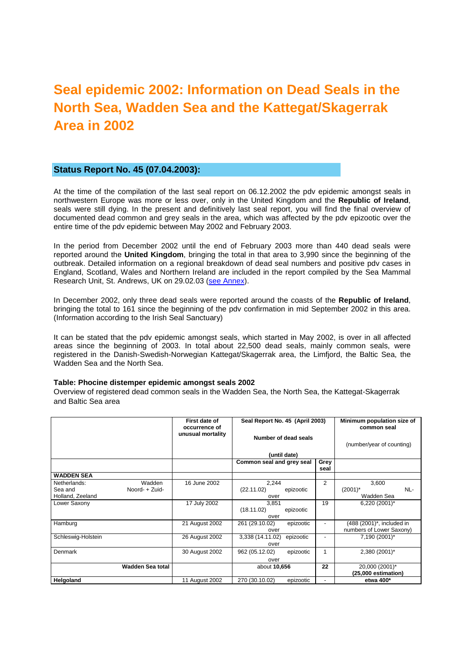# **Seal epidemic 2002: Information on Dead Seals in the North Sea, Wadden Sea and the Kattegat/Skagerrak Area in 2002**

## **Status Report No. 45 (07.04.2003):**

At the time of the compilation of the last seal report on 06.12.2002 the pdv epidemic amongst seals in northwestern Europe was more or less over, only in the United Kingdom and the **Republic of Ireland**, seals were still dying. In the present and definitively last seal report, you will find the final overview of documented dead common and grey seals in the area, which was affected by the pdv epizootic over the entire time of the pdv epidemic between May 2002 and February 2003.

In the period from December 2002 until the end of February 2003 more than 440 dead seals were reported around the **United Kingdom**, bringing the total in that area to 3,990 since the beginning of the outbreak. Detailed information on a regional breakdown of dead seal numbers and positive pdv cases in England, Scotland, Wales and Northern Ireland are included in the report compiled by the Sea Mammal Research Unit, St. Andrews, UK on 29.02.03 (see Annex).

In December 2002, only three dead seals were reported around the coasts of the **Republic of Ireland**, bringing the total to 161 since the beginning of the pdv confirmation in mid September 2002 in this area. (Information according to the Irish Seal Sanctuary)

It can be stated that the pdv epidemic amongst seals, which started in May 2002, is over in all affected areas since the beginning of 2003. In total about 22,500 dead seals, mainly common seals, were registered in the Danish-Swedish-Norwegian Kattegat/Skagerrak area, the Limfjord, the Baltic Sea, the Wadden Sea and the North Sea.

### **Table: Phocine distemper epidemic amongst seals 2002**

Overview of registered dead common seals in the Wadden Sea, the North Sea, the Kattegat-Skagerrak and Baltic Sea area

|                                                                         | First date of<br>occurrence of | Seal Report No. 45 (April 2003)<br>Number of dead seals<br>(until date) |                          | Minimum population size of<br>common seal             |
|-------------------------------------------------------------------------|--------------------------------|-------------------------------------------------------------------------|--------------------------|-------------------------------------------------------|
|                                                                         | unusual mortality              |                                                                         |                          | (number/year of counting)                             |
|                                                                         |                                | Common seal and grey seal                                               | Grey<br>seal             |                                                       |
| <b>WADDEN SEA</b>                                                       |                                |                                                                         |                          |                                                       |
| Netherlands:<br>Wadden<br>Noord- + Zuid-<br>Sea and<br>Holland, Zeeland | 16 June 2002                   | 2,244<br>(22.11.02)<br>epizootic<br>over                                | 2                        | 3,600<br>$(2001)^*$<br>NL-<br>Wadden Sea              |
| Lower Saxony                                                            | 17 July 2002                   | 3,851<br>(18.11.02)<br>epizootic<br>over                                | 19                       | 6,220 (2001)*                                         |
| Hamburg                                                                 | 21 August 2002                 | 261 (29.10.02)<br>epizootic<br>over                                     | $\overline{\phantom{0}}$ | (488 (2001)*, included in<br>numbers of Lower Saxony) |
| Schleswig-Holstein                                                      | 26 August 2002                 | 3,338 (14.11.02)<br>epizootic<br>over                                   | $\overline{\phantom{a}}$ | 7,190 (2001)*                                         |
| Denmark                                                                 | 30 August 2002                 | 962 (05.12.02)<br>epizootic<br>over                                     | 1                        | 2,380 (2001)*                                         |
| <b>Wadden Sea total</b>                                                 |                                | about 10,656                                                            | 22                       | 20,000 (2001)*<br>(25,000 estimation)                 |
| Helgoland                                                               | 11 August 2002                 | 270 (30.10.02)<br>epizootic                                             | $\overline{a}$           | etwa 400*                                             |